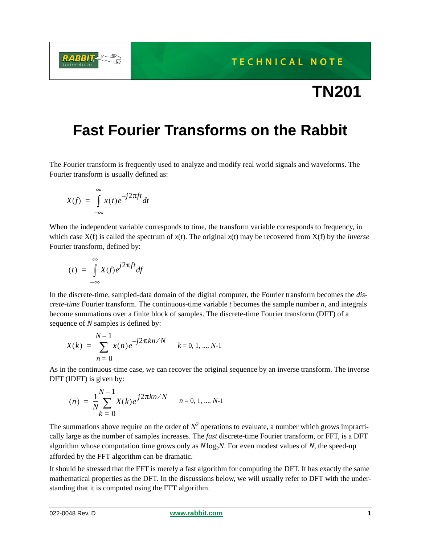**TECHNICAL NOTE** 

# **TN201**

# **Fast Fourier Transforms on the Rabbit**

The Fourier transform is frequently used to analyze and modify real world signals and waveforms. The Fourier transform is usually defined as:

$$
X(f) = \int_{-\infty}^{\infty} x(t)e^{-j2\pi ft}dt
$$

When the independent variable corresponds to time, the transform variable corresponds to frequency, in which case X(f) is called the spectrum of *x*(t). The original *x*(t) may be recovered from X(f) by the *inverse* Fourier transform, defined by:

$$
(t) = \int_{-\infty}^{\infty} X(f) e^{j2\pi ft} df
$$

In the discrete-time, sampled-data domain of the digital computer, the Fourier transform becomes the *discrete-time* Fourier transform. The continuous-time variable *t* becomes the sample number *n*, and integrals become summations over a finite block of samples. The discrete-time Fourier transform (DFT) of a sequence of *N* samples is defined by:

$$
X(k) = \sum_{n=0}^{N-1} x(n)e^{-j2\pi kn/N} \qquad k = 0, 1, ..., N-1
$$

As in the continuous-time case, we can recover the original sequence by an inverse transform. The inverse DFT (IDFT) is given by:

$$
(n) = \frac{1}{N} \sum_{k=0}^{N-1} X(k) e^{j2\pi k n/N} \qquad n = 0, 1, ..., N-1
$$

The summations above require on the order of  $N^2$  operations to evaluate, a number which grows impractically large as the number of samples increases. The *fast* discrete-time Fourier transform, or FFT, is a DFT algorithm whose computation time grows only as  $N \log_2 N$ . For even modest values of N, the speed-up afforded by the FFT algorithm can be dramatic.

It should be stressed that the FFT is merely a fast algorithm for computing the DFT. It has exactly the same mathematical properties as the DFT. In the discussions below, we will usually refer to DFT with the understanding that it is computed using the FFT algorithm.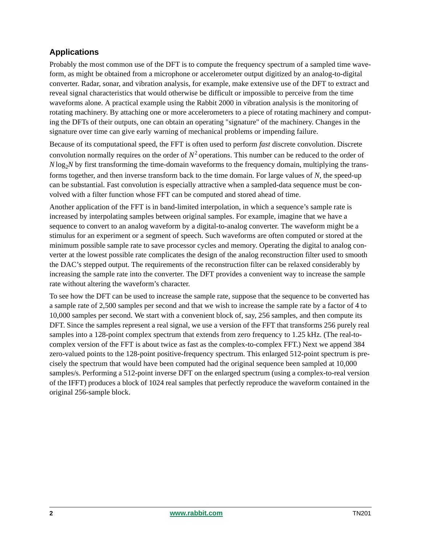# **Applications**

Probably the most common use of the DFT is to compute the frequency spectrum of a sampled time waveform, as might be obtained from a microphone or accelerometer output digitized by an analog-to-digital converter. Radar, sonar, and vibration analysis, for example, make extensive use of the DFT to extract and reveal signal characteristics that would otherwise be difficult or impossible to perceive from the time waveforms alone. A practical example using the Rabbit 2000 in vibration analysis is the monitoring of rotating machinery. By attaching one or more accelerometers to a piece of rotating machinery and computing the DFTs of their outputs, one can obtain an operating "signature" of the machinery. Changes in the signature over time can give early warning of mechanical problems or impending failure.

Because of its computational speed, the FFT is often used to perform *fast* discrete convolution. Discrete convolution normally requires on the order of  $N^2$  operations. This number can be reduced to the order of  $N \log_2 N$  by first transforming the time-domain waveforms to the frequency domain, multiplying the transforms together, and then inverse transform back to the time domain. For large values of *N*, the speed-up can be substantial. Fast convolution is especially attractive when a sampled-data sequence must be convolved with a filter function whose FFT can be computed and stored ahead of time.

Another application of the FFT is in band-limited interpolation, in which a sequence's sample rate is increased by interpolating samples between original samples. For example, imagine that we have a sequence to convert to an analog waveform by a digital-to-analog converter. The waveform might be a stimulus for an experiment or a segment of speech. Such waveforms are often computed or stored at the minimum possible sample rate to save processor cycles and memory. Operating the digital to analog converter at the lowest possible rate complicates the design of the analog reconstruction filter used to smooth the DAC's stepped output. The requirements of the reconstruction filter can be relaxed considerably by increasing the sample rate into the converter. The DFT provides a convenient way to increase the sample rate without altering the waveform's character.

To see how the DFT can be used to increase the sample rate, suppose that the sequence to be converted has a sample rate of 2,500 samples per second and that we wish to increase the sample rate by a factor of 4 to 10,000 samples per second. We start with a convenient block of, say, 256 samples, and then compute its DFT. Since the samples represent a real signal, we use a version of the FFT that transforms 256 purely real samples into a 128-point complex spectrum that extends from zero frequency to 1.25 kHz. (The real-tocomplex version of the FFT is about twice as fast as the complex-to-complex FFT.) Next we append 384 zero-valued points to the 128-point positive-frequency spectrum. This enlarged 512-point spectrum is precisely the spectrum that would have been computed had the original sequence been sampled at 10,000 samples/s. Performing a 512-point inverse DFT on the enlarged spectrum (using a complex-to-real version of the IFFT) produces a block of 1024 real samples that perfectly reproduce the waveform contained in the original 256-sample block.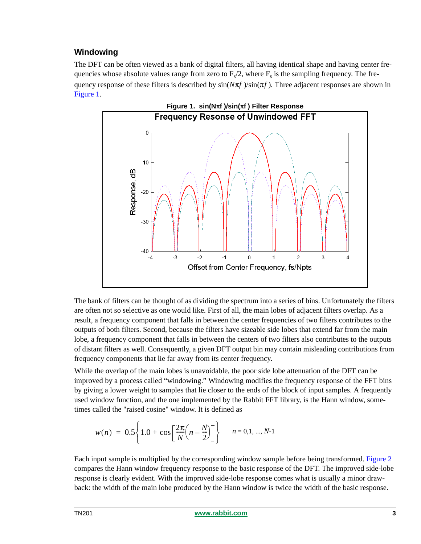# **Windowing**

The DFT can be often viewed as a bank of digital filters, all having identical shape and having center frequencies whose absolute values range from zero to  $F_s/2$ , where  $F_s$  is the sampling frequency. The frequency response of these filters is described by  $sin(N\pi f)/sin(\pi f)$ . Three adjacent responses are shown in [Figure 1.](#page-2-0)

<span id="page-2-0"></span>

The bank of filters can be thought of as dividing the spectrum into a series of bins. Unfortunately the filters are often not so selective as one would like. First of all, the main lobes of adjacent filters overlap. As a result, a frequency component that falls in between the center frequencies of two filters contributes to the outputs of both filters. Second, because the filters have sizeable side lobes that extend far from the main lobe, a frequency component that falls in between the centers of two filters also contributes to the outputs of distant filters as well. Consequently, a given DFT output bin may contain misleading contributions from frequency components that lie far away from its center frequency.

While the overlap of the main lobes is unavoidable, the poor side lobe attenuation of the DFT can be improved by a process called "windowing." Windowing modifies the frequency response of the FFT bins by giving a lower weight to samples that lie closer to the ends of the block of input samples. A frequently used window function, and the one implemented by the Rabbit FFT library, is the Hann window, sometimes called the "raised cosine" window. It is defined as

$$
w(n) = 0.5 \left\{ 1.0 + \cos \left[ \frac{2\pi}{N} \left( n - \frac{N}{2} \right) \right] \right\}
$$
  $n = 0, 1, ..., N-1$ 

Each input sample is multiplied by the corresponding window sample before being transformed. [Figure 2](#page-3-0) compares the Hann window frequency response to the basic response of the DFT. The improved side-lobe response is clearly evident. With the improved side-lobe response comes what is usually a minor drawback: the width of the main lobe produced by the Hann window is twice the width of the basic response.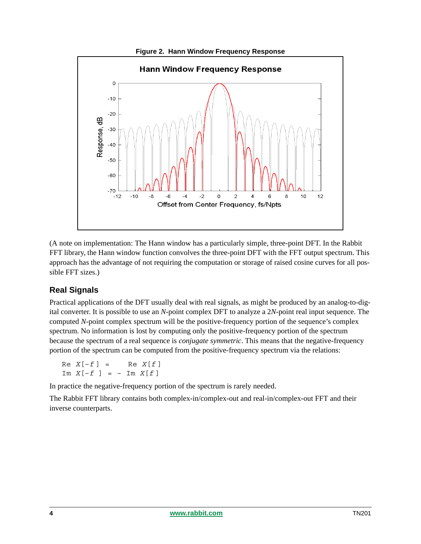<span id="page-3-0"></span>

(A note on implementation: The Hann window has a particularly simple, three-point DFT. In the Rabbit FFT library, the Hann window function convolves the three-point DFT with the FFT output spectrum. This approach has the advantage of not requiring the computation or storage of raised cosine curves for all possible FFT sizes.)

# **Real Signals**

Practical applications of the DFT usually deal with real signals, as might be produced by an analog-to-digital converter. It is possible to use an *N*-point complex DFT to analyze a 2*N*-point real input sequence. The computed *N*-point complex spectrum will be the positive-frequency portion of the sequence's complex spectrum. No information is lost by computing only the positive-frequency portion of the spectrum because the spectrum of a real sequence is *conjugate symmetric*. This means that the negative-frequency portion of the spectrum can be computed from the positive-frequency spectrum via the relations:

 $Re X[-f] = Re X[f]$ Im  $X[-f] = -$  Im  $X[f]$ 

In practice the negative-frequency portion of the spectrum is rarely needed.

The Rabbit FFT library contains both complex-in/complex-out and real-in/complex-out FFT and their inverse counterparts.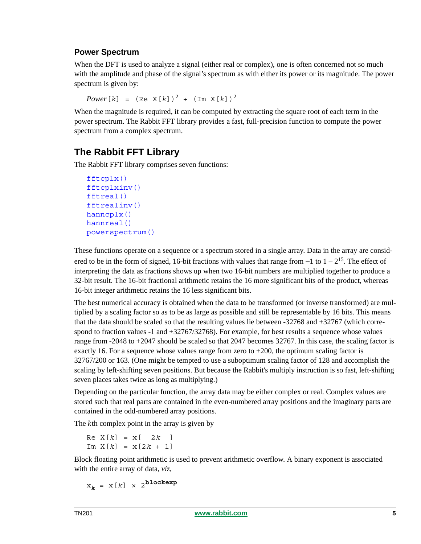# **Power Spectrum**

When the DFT is used to analyze a signal (either real or complex), one is often concerned not so much with the amplitude and phase of the signal's spectrum as with either its power or its magnitude. The power spectrum is given by:

 $Power[k] = (Re X[k])^{2} + (Im X[k])^{2}$ 

When the magnitude is required, it can be computed by extracting the square root of each term in the power spectrum. The Rabbit FFT library provides a fast, full-precision function to compute the power spectrum from a complex spectrum.

# **The Rabbit FFT Library**

The Rabbit FFT library comprises seven functions:

```
fftcplx()
fftcplxinv()
fftreal()
fftrealinv()
hanncplx()
hannreal()
powerspectrum()
```
These functions operate on a sequence or a spectrum stored in a single array. Data in the array are considered to be in the form of signed, 16-bit fractions with values that range from  $-1$  to  $1 - 2^{15}$ . The effect of interpreting the data as fractions shows up when two 16-bit numbers are multiplied together to produce a 32-bit result. The 16-bit fractional arithmetic retains the 16 more significant bits of the product, whereas 16-bit integer arithmetic retains the 16 less significant bits.

The best numerical accuracy is obtained when the data to be transformed (or inverse transformed) are multiplied by a scaling factor so as to be as large as possible and still be representable by 16 bits. This means that the data should be scaled so that the resulting values lie between -32768 and +32767 (which correspond to fraction values -1 and +32767/32768). For example, for best results a sequence whose values range from -2048 to +2047 should be scaled so that 2047 becomes 32767. In this case, the scaling factor is exactly 16. For a sequence whose values range from zero to  $+200$ , the optimum scaling factor is 32767/200 or 163. (One might be tempted to use a suboptimum scaling factor of 128 and accomplish the scaling by left-shifting seven positions. But because the Rabbit's multiply instruction is so fast, left-shifting seven places takes twice as long as multiplying.)

Depending on the particular function, the array data may be either complex or real. Complex values are stored such that real parts are contained in the even-numbered array positions and the imaginary parts are contained in the odd-numbered array positions.

The *k*th complex point in the array is given by

 $Re X[k] = X[ 2k ]$  $Im X[k] = x[2k + 1]$ 

Block floating point arithmetic is used to prevent arithmetic overflow. A binary exponent is associated with the entire array of data, *viz,*

 $x_k = x[k] \times 2^{blockexp}$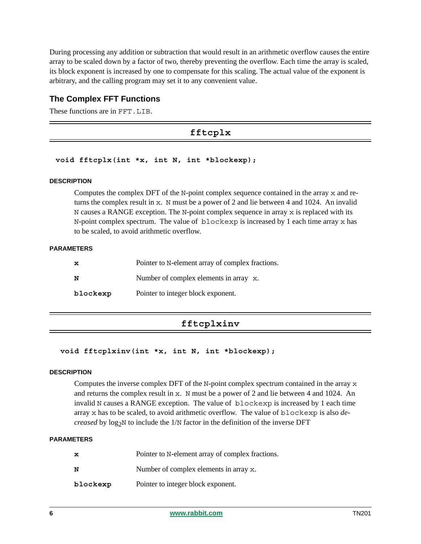During processing any addition or subtraction that would result in an arithmetic overflow causes the entire array to be scaled down by a factor of two, thereby preventing the overflow. Each time the array is scaled, its block exponent is increased by one to compensate for this scaling. The actual value of the exponent is arbitrary, and the calling program may set it to any convenient value.

## **The Complex FFT Functions**

<span id="page-5-0"></span>These functions are in FFT.LIB.

# **fftcplx**

#### **void fftcplx(int \*x, int N, int \*blockexp);**

#### **DESCRIPTION**

Computes the complex DFT of the N-point complex sequence contained in the array  $x$  and returns the complex result in  $x$ . N must be a power of 2 and lie between 4 and 1024. An invalid N causes a RANGE exception. The N-point complex sequence in array  $x$  is replaced with its N-point complex spectrum. The value of blockexp is increased by 1 each time array x has to be scaled, to avoid arithmetic overflow.

#### **PARAMETERS**

| x        | Pointer to N-element array of complex fractions. |
|----------|--------------------------------------------------|
| N        | Number of complex elements in array x.           |
| blockexp | Pointer to integer block exponent.               |

# **fftcplxinv**

```
 void fftcplxinv(int *x, int N, int *blockexp);
```
#### **DESCRIPTION**

Computes the inverse complex DFT of the N-point complex spectrum contained in the array  $x$ and returns the complex result in  $x$ . N must be a power of 2 and lie between 4 and 1024. An invalid N causes a RANGE exception. The value of blockexp is increased by 1 each time array x has to be scaled, to avoid arithmetic overflow. The value of blockexp is also *decreased* by  $log_2N$  to include the  $1/N$  factor in the definition of the inverse DFT

| $\mathbf x$ | Pointer to N-element array of complex fractions. |
|-------------|--------------------------------------------------|
| N           | Number of complex elements in array x.           |
| blockexp    | Pointer to integer block exponent.               |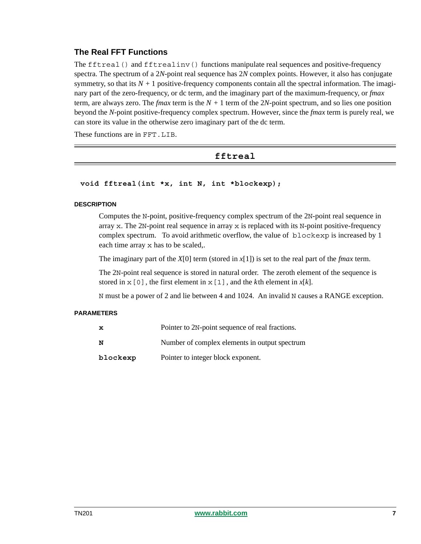# **The Real FFT Functions**

The fftreal() and fftrealinv() functions manipulate real sequences and positive-frequency spectra. The spectrum of a 2*N*-point real sequence has 2*N* complex points. However, it also has conjugate symmetry, so that its  $N + 1$  positive-frequency components contain all the spectral information. The imaginary part of the zero-frequency, or dc term, and the imaginary part of the maximum-frequency, or *fmax* term, are always zero. The *fmax* term is the  $N + 1$  term of the 2*N*-point spectrum, and so lies one position beyond the *N*-point positive-frequency complex spectrum. However, since the *fmax* term is purely real, we can store its value in the otherwise zero imaginary part of the dc term.

<span id="page-6-0"></span>These functions are in FFT. LIB.

# **fftreal**

#### **void fftreal(int \*x, int N, int \*blockexp);**

#### **DESCRIPTION**

Computes the N-point, positive-frequency complex spectrum of the 2N-point real sequence in array x. The 2N-point real sequence in array x is replaced with its N-point positive-frequency complex spectrum. To avoid arithmetic overflow, the value of blockexp is increased by 1 each time array x has to be scaled,.

The imaginary part of the *X*[0] term (stored in *x*[1]) is set to the real part of the *fmax* term.

The 2N-point real sequence is stored in natural order. The zeroth element of the sequence is stored in  $x[0]$ , the first element in  $x[1]$ , and the *k*th element in  $x[k]$ .

N must be a power of 2 and lie between 4 and 1024. An invalid N causes a RANGE exception.

| x        | Pointer to 2N-point sequence of real fractions. |
|----------|-------------------------------------------------|
| N        | Number of complex elements in output spectrum   |
| blockexp | Pointer to integer block exponent.              |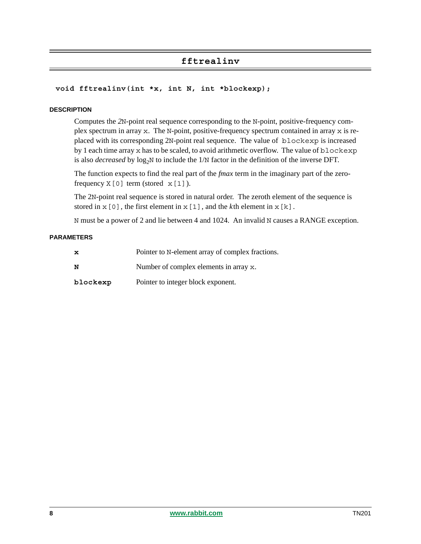# **fftrealinv**

#### <span id="page-7-0"></span>**void fftrealinv(int \*x, int N, int \*blockexp);**

#### **DESCRIPTION**

Computes the *2*N-point real sequence corresponding to the N-point, positive-frequency complex spectrum in array x. The N-point, positive-frequency spectrum contained in array x is replaced with its corresponding 2N-point real sequence. The value of blockexp is increased by 1 each time array x has to be scaled, to avoid arithmetic overflow. The value of blockexp is also *decreased* by  $log_2N$  to include the  $1/N$  factor in the definition of the inverse DFT.

The function expects to find the real part of the *fmax* term in the imaginary part of the zerofrequency  $X[0]$  term (stored  $X[1]$ ).

The 2N-point real sequence is stored in natural order. The zeroth element of the sequence is stored in  $x[0]$ , the first element in  $x[1]$ , and the *k*th element in  $x[k]$ .

N must be a power of 2 and lie between 4 and 1024. An invalid N causes a RANGE exception.

| $\mathbf x$ | Pointer to N-element array of complex fractions. |
|-------------|--------------------------------------------------|
| N           | Number of complex elements in array x.           |
| blockexp    | Pointer to integer block exponent.               |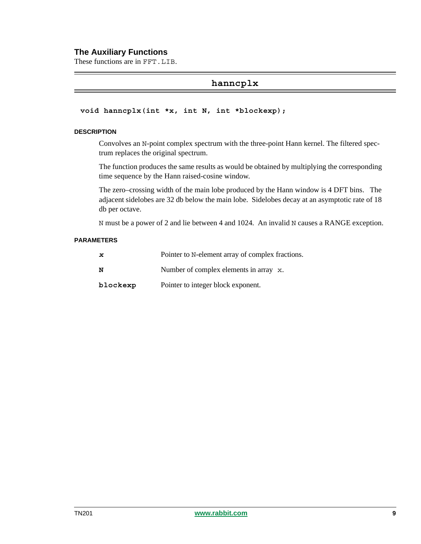#### **The Auxiliary Functions**

<span id="page-8-0"></span>These functions are in FFT.LIB.

### **hanncplx**

#### **void hanncplx(int \*x, int N, int \*blockexp);**

#### **DESCRIPTION**

Convolves an N-point complex spectrum with the three-point Hann kernel. The filtered spectrum replaces the original spectrum.

The function produces the same results as would be obtained by multiplying the corresponding time sequence by the Hann raised-cosine window.

The zero–crossing width of the main lobe produced by the Hann window is 4 DFT bins. The adjacent sidelobes are 32 db below the main lobe. Sidelobes decay at an asymptotic rate of 18 db per octave.

N must be a power of 2 and lie between 4 and 1024. An invalid N causes a RANGE exception.

| $\mathbf{x}$ | Pointer to N-element array of complex fractions. |
|--------------|--------------------------------------------------|
| N            | Number of complex elements in array x.           |
| blockexp     | Pointer to integer block exponent.               |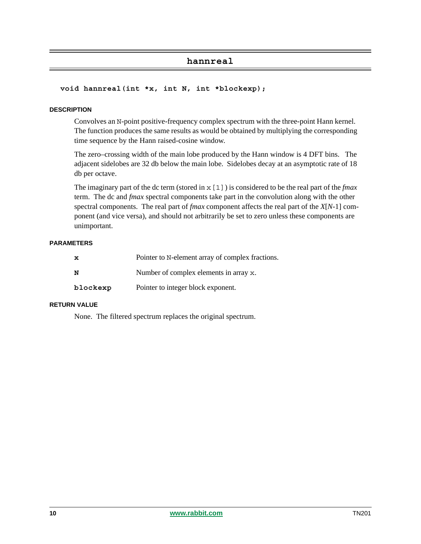## **hannreal**

#### <span id="page-9-0"></span> **void hannreal(int \*x, int N, int \*blockexp);**

#### **DESCRIPTION**

Convolves an N-point positive-frequency complex spectrum with the three-point Hann kernel. The function produces the same results as would be obtained by multiplying the corresponding time sequence by the Hann raised-cosine window.

The zero–crossing width of the main lobe produced by the Hann window is 4 DFT bins. The adjacent sidelobes are 32 db below the main lobe. Sidelobes decay at an asymptotic rate of 18 db per octave.

The imaginary part of the dc term (stored in x[1]) is considered to be the real part of the *fmax* term. The dc and *fmax* spectral components take part in the convolution along with the other spectral components. The real part of *fmax* component affects the real part of the *X*[*N*-1] component (and vice versa), and should not arbitrarily be set to zero unless these components are unimportant.

#### **PARAMETERS**

| x        | Pointer to N-element array of complex fractions. |
|----------|--------------------------------------------------|
| N        | Number of complex elements in array x.           |
| blockexp | Pointer to integer block exponent.               |

#### **RETURN VALUE**

None. The filtered spectrum replaces the original spectrum.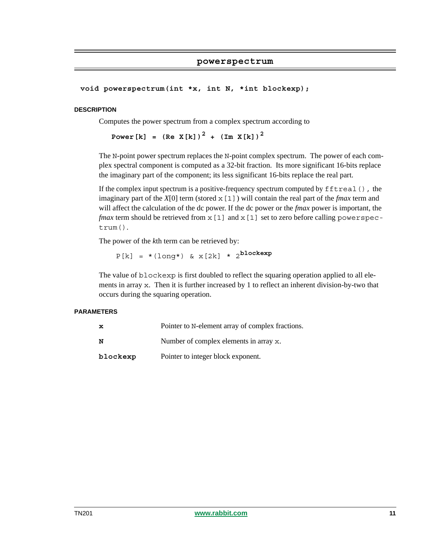#### **powerspectrum**

<span id="page-10-0"></span>**void powerspectrum(int \*x, int N, \*int blockexp);**

#### **DESCRIPTION**

Computes the power spectrum from a complex spectrum according to

**Power**[k] =  $(Re X[k])^2 + (Im X[k])^2$ 

The N-point power spectrum replaces the N-point complex spectrum. The power of each complex spectral component is computed as a 32-bit fraction. Its more significant 16-bits replace the imaginary part of the component; its less significant 16-bits replace the real part.

If the complex input spectrum is a positive-frequency spectrum computed by  $fftreal()$ , the imaginary part of the  $X[0]$  term (stored  $x[1]$ ) will contain the real part of the *fmax* term and will affect the calculation of the dc power. If the dc power or the *fmax* power is important, the *fmax* term should be retrieved from  $x[1]$  and  $x[1]$  set to zero before calling powerspectrum().

The power of the *k*th term can be retrieved by:

 $P[k] = * (long*)$  &  $x[2k] * 2^{blockexp}$ 

The value of blockexp is first doubled to reflect the squaring operation applied to all elements in array x. Then it is further increased by 1 to reflect an inherent division-by-two that occurs during the squaring operation.

| x        | Pointer to N-element array of complex fractions. |
|----------|--------------------------------------------------|
| N        | Number of complex elements in array x.           |
| blockexp | Pointer to integer block exponent.               |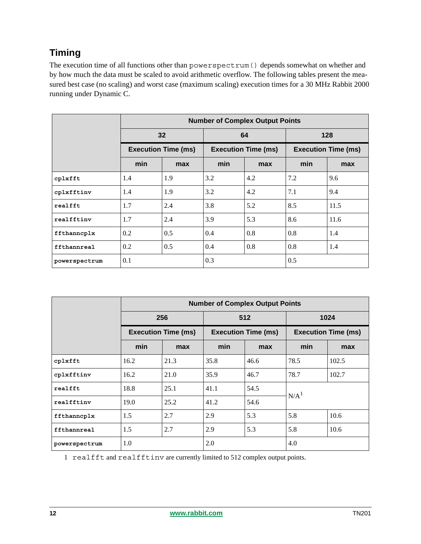# **Timing**

The execution time of all functions other than powerspectrum() depends somewhat on whether and by how much the data must be scaled to avoid arithmetic overflow. The following tables present the measured best case (no scaling) and worst case (maximum scaling) execution times for a 30 MHz Rabbit 2000 running under Dynamic C.

|               | <b>Number of Complex Output Points</b> |     |                            |     |                            |      |  |
|---------------|----------------------------------------|-----|----------------------------|-----|----------------------------|------|--|
|               | 32<br><b>Execution Time (ms)</b>       |     | 64                         |     | 128                        |      |  |
|               |                                        |     | <b>Execution Time (ms)</b> |     | <b>Execution Time (ms)</b> |      |  |
|               | min                                    | max | min                        | max | min                        | max  |  |
| cplxfft       | 1.4                                    | 1.9 | 3.2                        | 4.2 | 7.2                        | 9.6  |  |
| cplxfftinv    | 1.4                                    | 1.9 | 3.2                        | 4.2 | 7.1                        | 9.4  |  |
| realfft       | 1.7                                    | 2.4 | 3.8                        | 5.2 | 8.5                        | 11.5 |  |
| realfftinv    | 1.7                                    | 2.4 | 3.9                        | 5.3 | 8.6                        | 11.6 |  |
| ffthanncplx   | 0.2                                    | 0.5 | 0.4                        | 0.8 | 0.8                        | 1.4  |  |
| ffthannreal   | 0.2                                    | 0.5 | 0.4                        | 0.8 | 0.8                        | 1.4  |  |
| powerspectrum | 0.1                                    |     | 0.3                        |     | 0.5                        |      |  |

|               | <b>Number of Complex Output Points</b> |      |                                   |      |                                    |       |
|---------------|----------------------------------------|------|-----------------------------------|------|------------------------------------|-------|
|               | 256<br><b>Execution Time (ms)</b>      |      | 512<br><b>Execution Time (ms)</b> |      | 1024<br><b>Execution Time (ms)</b> |       |
|               |                                        |      |                                   |      |                                    |       |
|               | min                                    | max  | min                               | max  | min                                | max   |
| cplxfft       | 16.2                                   | 21.3 | 35.8                              | 46.6 | 78.5                               | 102.5 |
| cplxfftinv    | 16.2                                   | 21.0 | 35.9                              | 46.7 | 78.7                               | 102.7 |
| realfft       | 18.8                                   | 25.1 | 41.1                              | 54.5 | N/A <sup>1</sup>                   |       |
| realfftinv    | 19.0                                   | 25.2 | 41.2                              | 54.6 |                                    |       |
| ffthanncplx   | 1.5                                    | 2.7  | 2.9                               | 5.3  | 5.8                                | 10.6  |
| ffthannreal   | 1.5                                    | 2.7  | 2.9                               | 5.3  | 5.8                                | 10.6  |
| powerspectrum | 1.0                                    |      | 2.0                               |      | 4.0                                |       |

1 realfft and realfftinv are currently limited to 512 complex output points.